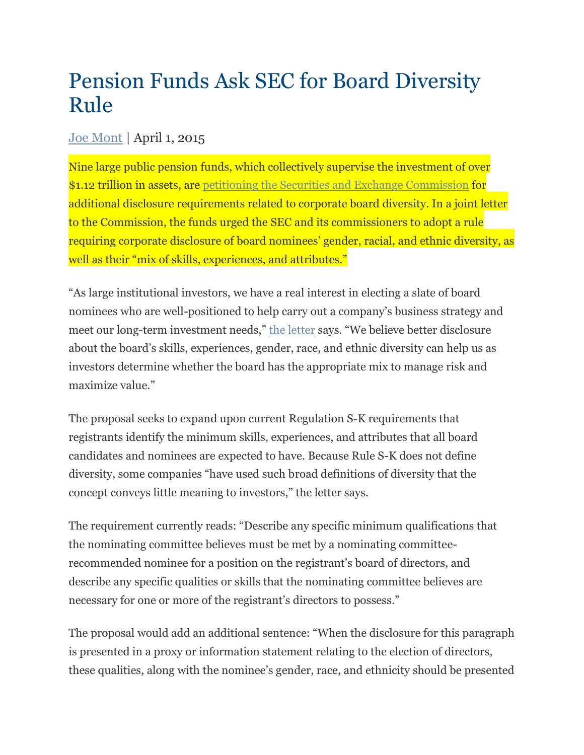## Pension Funds Ask SEC for Board Diversity Rule

## [Joe Mont](https://www.complianceweek.com/author/author/1) | April 1, 2015

Nine large public pension funds, which collectively supervise the investment of over \$1.12 trillion in assets, are [petitioning the Securities and Exchange Commission](https://www.nctreasurer.com/inv/Resources/ProxyRuleAmendmentPetition.pdf) for additional disclosure requirements related to corporate board diversity. In a joint letter to the Commission, the funds urged the SEC and its commissioners to adopt a rule requiring corporate disclosure of board nominees' gender, racial, and ethnic diversity, as well as their "mix of skills, experiences, and attributes."

"As large institutional investors, we have a real interest in electing a slate of board nominees who are well-positioned to help carry out a company's business strategy and meet our long-term investment needs," the [letter](https://www.nctreasurer.com/inv/Resources/ProxyRuleAmendmentPetition.pdf) says. "We believe better disclosure about the board's skills, experiences, gender, race, and ethnic diversity can help us as investors determine whether the board has the appropriate mix to manage risk and maximize value."

The proposal seeks to expand upon current Regulation S-K requirements that registrants identify the minimum skills, experiences, and attributes that all board candidates and nominees are expected to have. Because Rule S-K does not define diversity, some companies "have used such broad definitions of diversity that the concept conveys little meaning to investors," the letter says.

The requirement currently reads: "Describe any specific minimum qualifications that the nominating committee believes must be met by a nominating committeerecommended nominee for a position on the registrant's board of directors, and describe any specific qualities or skills that the nominating committee believes are necessary for one or more of the registrant's directors to possess."

The proposal would add an additional sentence: "When the disclosure for this paragraph is presented in a proxy or information statement relating to the election of directors, these qualities, along with the nominee's gender, race, and ethnicity should be presented